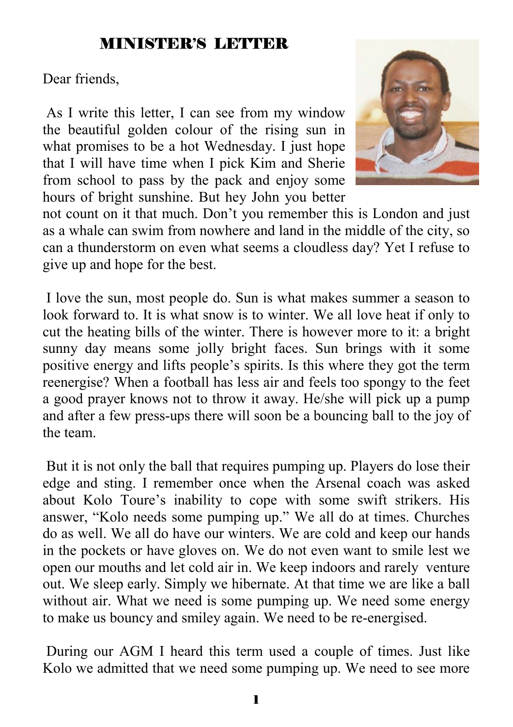### MINISTER'S LETTER

Dear friends,

 As I write this letter, I can see from my window the beautiful golden colour of the rising sun in what promises to be a hot Wednesday. I just hope that I will have time when I pick Kim and Sherie from school to pass by the pack and enjoy some hours of bright sunshine. But hey John you better



not count on it that much. Don't you remember this is London and just as a whale can swim from nowhere and land in the middle of the city, so can a thunderstorm on even what seems a cloudless day? Yet I refuse to give up and hope for the best.

 I love the sun, most people do. Sun is what makes summer a season to look forward to. It is what snow is to winter. We all love heat if only to cut the heating bills of the winter. There is however more to it: a bright sunny day means some jolly bright faces. Sun brings with it some positive energy and lifts people's spirits. Is this where they got the term reenergise? When a football has less air and feels too spongy to the feet a good prayer knows not to throw it away. He/she will pick up a pump and after a few press-ups there will soon be a bouncing ball to the joy of the team.

 But it is not only the ball that requires pumping up. Players do lose their edge and sting. I remember once when the Arsenal coach was asked about Kolo Toure's inability to cope with some swift strikers. His answer, "Kolo needs some pumping up." We all do at times. Churches do as well. We all do have our winters. We are cold and keep our hands in the pockets or have gloves on. We do not even want to smile lest we open our mouths and let cold air in. We keep indoors and rarely venture out. We sleep early. Simply we hibernate. At that time we are like a ball without air. What we need is some pumping up. We need some energy to make us bouncy and smiley again. We need to be re-energised.

 During our AGM I heard this term used a couple of times. Just like Kolo we admitted that we need some pumping up. We need to see more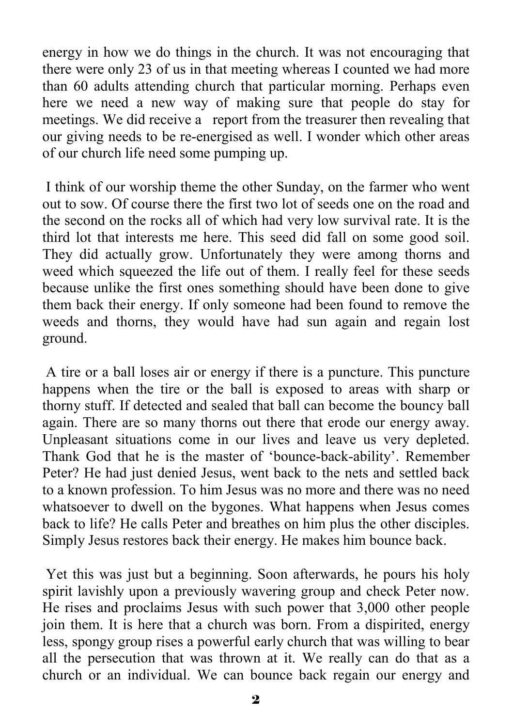energy in how we do things in the church. It was not encouraging that there were only 23 of us in that meeting whereas I counted we had more than 60 adults attending church that particular morning. Perhaps even here we need a new way of making sure that people do stay for meetings. We did receive a report from the treasurer then revealing that our giving needs to be re-energised as well. I wonder which other areas of our church life need some pumping up.

 I think of our worship theme the other Sunday, on the farmer who went out to sow. Of course there the first two lot of seeds one on the road and the second on the rocks all of which had very low survival rate. It is the third lot that interests me here. This seed did fall on some good soil. They did actually grow. Unfortunately they were among thorns and weed which squeezed the life out of them. I really feel for these seeds because unlike the first ones something should have been done to give them back their energy. If only someone had been found to remove the weeds and thorns, they would have had sun again and regain lost ground.

 A tire or a ball loses air or energy if there is a puncture. This puncture happens when the tire or the ball is exposed to areas with sharp or thorny stuff. If detected and sealed that ball can become the bouncy ball again. There are so many thorns out there that erode our energy away. Unpleasant situations come in our lives and leave us very depleted. Thank God that he is the master of 'bounce-back-ability'. Remember Peter? He had just denied Jesus, went back to the nets and settled back to a known profession. To him Jesus was no more and there was no need whatsoever to dwell on the bygones. What happens when Jesus comes back to life? He calls Peter and breathes on him plus the other disciples. Simply Jesus restores back their energy. He makes him bounce back.

 Yet this was just but a beginning. Soon afterwards, he pours his holy spirit lavishly upon a previously wavering group and check Peter now. He rises and proclaims Jesus with such power that 3,000 other people join them. It is here that a church was born. From a dispirited, energy less, spongy group rises a powerful early church that was willing to bear all the persecution that was thrown at it. We really can do that as a church or an individual. We can bounce back regain our energy and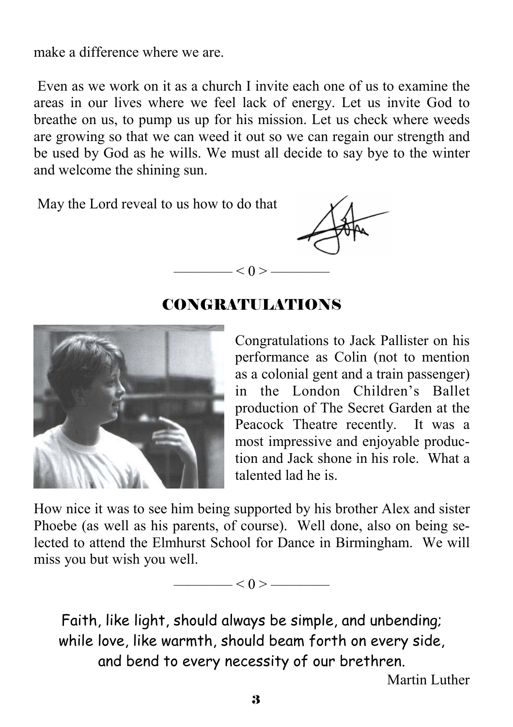make a difference where we are.

 Even as we work on it as a church I invite each one of us to examine the areas in our lives where we feel lack of energy. Let us invite God to breathe on us, to pump us up for his mission. Let us check where weeds are growing so that we can weed it out so we can regain our strength and be used by God as he wills. We must all decide to say bye to the winter and welcome the shining sun.

May the Lord reveal to us how to do that



#### CONGRATULATIONS

 $- < 0 > -$ 

Congratulations to Jack Pallister on his performance as Colin (not to mention as a colonial gent and a train passenger) in the London Children's Ballet production of The Secret Garden at the Peacock Theatre recently. It was a most impressive and enjoyable production and Jack shone in his role. What a talented lad he is.

How nice it was to see him being supported by his brother Alex and sister Phoebe (as well as his parents, of course). Well done, also on being selected to attend the Elmhurst School for Dance in Birmingham. We will miss you but wish you well.



Faith, like light, should always be simple, and unbending; while love, like warmth, should beam forth on every side, and bend to every necessity of our brethren. Martin Luther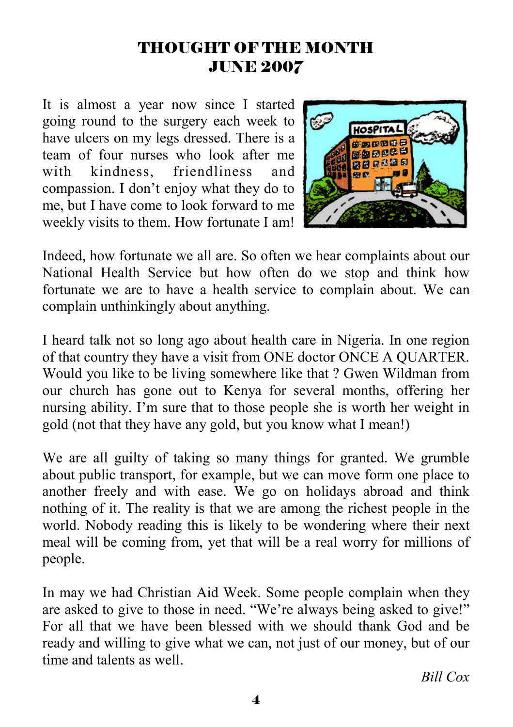#### THOUGHT OF THE MONTH JUNE 2007

It is almost a year now since I started going round to the surgery each week to have ulcers on my legs dressed. There is a team of four nurses who look after me with kindness, friendliness and compassion. I don't enjoy what they do to me, but I have come to look forward to me weekly visits to them. How fortunate I am!



Indeed, how fortunate we all are. So often we hear complaints about our National Health Service but how often do we stop and think how fortunate we are to have a health service to complain about. We can complain unthinkingly about anything.

I heard talk not so long ago about health care in Nigeria. In one region of that country they have a visit from ONE doctor ONCE A QUARTER. Would you like to be living somewhere like that ? Gwen Wildman from our church has gone out to Kenya for several months, offering her nursing ability. I'm sure that to those people she is worth her weight in gold (not that they have any gold, but you know what I mean!)

We are all guilty of taking so many things for granted. We grumble about public transport, for example, but we can move form one place to another freely and with ease. We go on holidays abroad and think nothing of it. The reality is that we are among the richest people in the world. Nobody reading this is likely to be wondering where their next meal will be coming from, yet that will be a real worry for millions of people.

In may we had Christian Aid Week. Some people complain when they are asked to give to those in need. "We're always being asked to give!" For all that we have been blessed with we should thank God and be ready and willing to give what we can, not just of our money, but of our time and talents as well.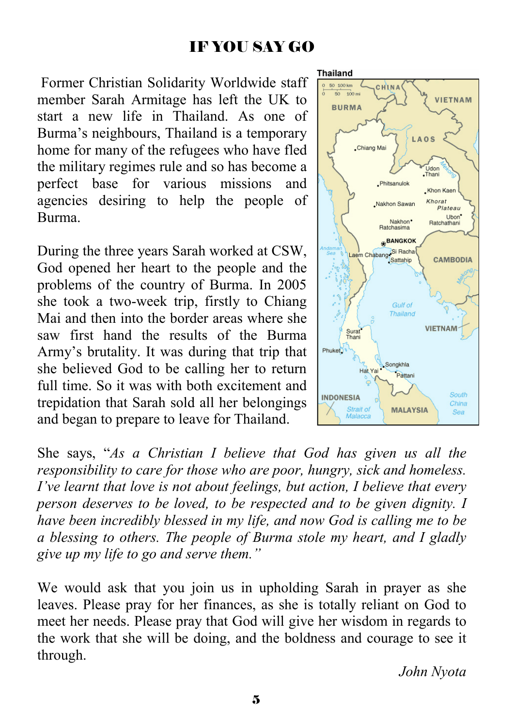### IF YOU SAY GO

 Former Christian Solidarity Worldwide staff member Sarah Armitage has left the UK to start a new life in Thailand. As one of Burma's neighbours, Thailand is a temporary home for many of the refugees who have fled the military regimes rule and so has become a perfect base for various missions and agencies desiring to help the people of Burma.

During the three years Sarah worked at CSW, God opened her heart to the people and the problems of the country of Burma. In 2005 she took a two-week trip, firstly to Chiang Mai and then into the border areas where she saw first hand the results of the Burma Army's brutality. It was during that trip that she believed God to be calling her to return full time. So it was with both excitement and trepidation that Sarah sold all her belongings and began to prepare to leave for Thailand.

Thailand  $0.50100 \text{ km}$ **CHINA**  $50 - 100$  mi **VIFTNAM BURMA** LAOS Chiang Mai Lidor .Thani . Phitsanulok . Khon Kae Khorat Nakhon Sawan Plateau Ubon<sup>\*</sup> Nakhon<sup>\*</sup> Ratchathar Ratchasima BANGKOK Laem Chabang Si Racha **CAMBODIA Gulf of** Thailand **VIETNAM** Surat<sup>®</sup><br>Thani Phuket<sup>3</sup> Songkhla Hat Yai Pattani South **INDONESIA** China Strait of **MALAYSIA** Sea

She says, "*As a Christian I believe that God has given us all the responsibility to care for those who are poor, hungry, sick and homeless. I've learnt that love is not about feelings, but action, I believe that every person deserves to be loved, to be respected and to be given dignity. I have been incredibly blessed in my life, and now God is calling me to be a blessing to others. The people of Burma stole my heart, and I gladly give up my life to go and serve them."* 

We would ask that you join us in upholding Sarah in prayer as she leaves. Please pray for her finances, as she is totally reliant on God to meet her needs. Please pray that God will give her wisdom in regards to the work that she will be doing, and the boldness and courage to see it through.

*John Nyota*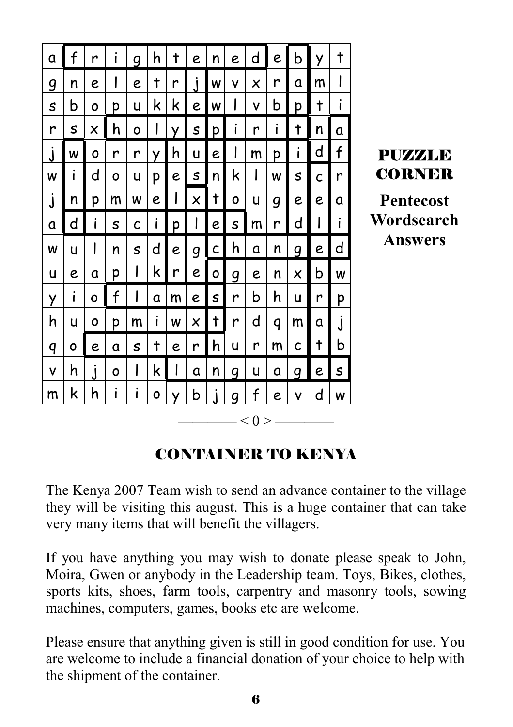

## CONTAINER TO KENYA

The Kenya 2007 Team wish to send an advance container to the village they will be visiting this august. This is a huge container that can take very many items that will benefit the villagers.

If you have anything you may wish to donate please speak to John, Moira, Gwen or anybody in the Leadership team. Toys, Bikes, clothes, sports kits, shoes, farm tools, carpentry and masonry tools, sowing machines, computers, games, books etc are welcome.

Please ensure that anything given is still in good condition for use. You are welcome to include a financial donation of your choice to help with the shipment of the container.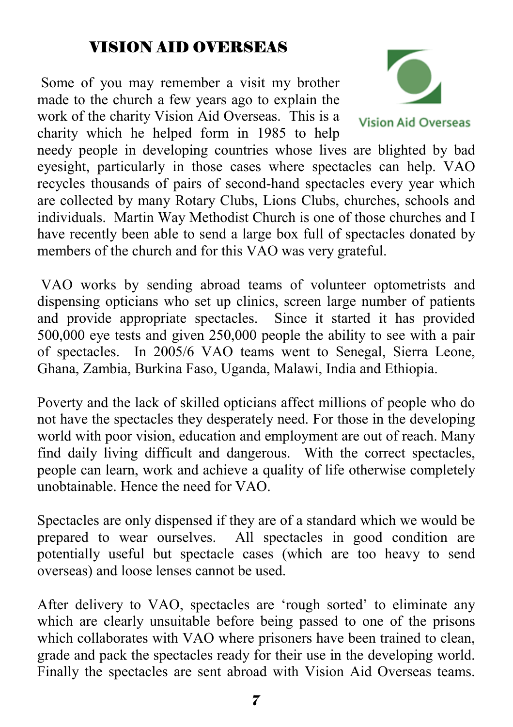## VISION AID OVERSEAS

 Some of you may remember a visit my brother made to the church a few years ago to explain the work of the charity Vision Aid Overseas. This is a charity which he helped form in 1985 to help



**Vision Aid Overseas** 

needy people in developing countries whose lives are blighted by bad eyesight, particularly in those cases where spectacles can help. VAO recycles thousands of pairs of second-hand spectacles every year which are collected by many Rotary Clubs, Lions Clubs, churches, schools and individuals. Martin Way Methodist Church is one of those churches and I have recently been able to send a large box full of spectacles donated by members of the church and for this VAO was very grateful.

 VAO works by sending abroad teams of volunteer optometrists and dispensing opticians who set up clinics, screen large number of patients and provide appropriate spectacles. Since it started it has provided 500,000 eye tests and given 250,000 people the ability to see with a pair of spectacles. In 2005/6 VAO teams went to Senegal, Sierra Leone, Ghana, Zambia, Burkina Faso, Uganda, Malawi, India and Ethiopia.

Poverty and the lack of skilled opticians affect millions of people who do not have the spectacles they desperately need. For those in the developing world with poor vision, education and employment are out of reach. Many find daily living difficult and dangerous. With the correct spectacles, people can learn, work and achieve a quality of life otherwise completely unobtainable. Hence the need for VAO.

Spectacles are only dispensed if they are of a standard which we would be prepared to wear ourselves. All spectacles in good condition are potentially useful but spectacle cases (which are too heavy to send overseas) and loose lenses cannot be used.

After delivery to VAO, spectacles are 'rough sorted' to eliminate any which are clearly unsuitable before being passed to one of the prisons which collaborates with VAO where prisoners have been trained to clean, grade and pack the spectacles ready for their use in the developing world. Finally the spectacles are sent abroad with Vision Aid Overseas teams.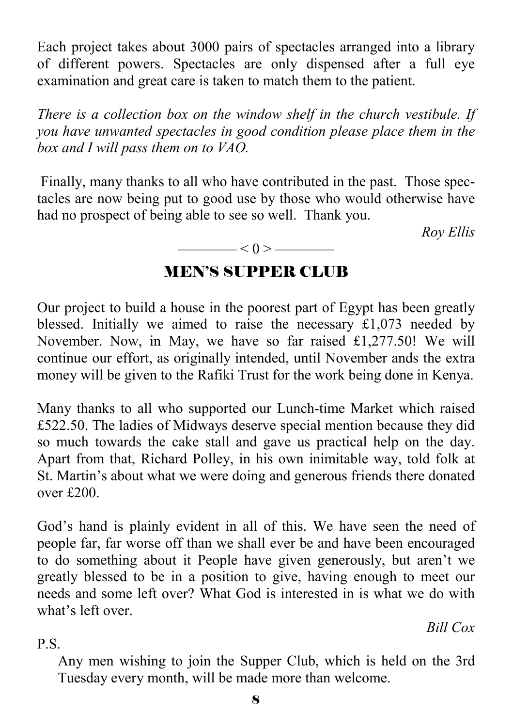Each project takes about 3000 pairs of spectacles arranged into a library of different powers. Spectacles are only dispensed after a full eye examination and great care is taken to match them to the patient.

*There is a collection box on the window shelf in the church vestibule. If you have unwanted spectacles in good condition please place them in the box and I will pass them on to VAO.* 

 Finally, many thanks to all who have contributed in the past. Those spectacles are now being put to good use by those who would otherwise have had no prospect of being able to see so well. Thank you.

 *Roy Ellis* 

#### $\longrightarrow$  < 0 >  $\longrightarrow$

#### MEN'S SUPPER CLUB

Our project to build a house in the poorest part of Egypt has been greatly blessed. Initially we aimed to raise the necessary £1,073 needed by November. Now, in May, we have so far raised £1,277.50! We will continue our effort, as originally intended, until November ands the extra money will be given to the Rafiki Trust for the work being done in Kenya.

Many thanks to all who supported our Lunch-time Market which raised £522.50. The ladies of Midways deserve special mention because they did so much towards the cake stall and gave us practical help on the day. Apart from that, Richard Polley, in his own inimitable way, told folk at St. Martin's about what we were doing and generous friends there donated over £200.

God's hand is plainly evident in all of this. We have seen the need of people far, far worse off than we shall ever be and have been encouraged to do something about it People have given generously, but aren't we greatly blessed to be in a position to give, having enough to meet our needs and some left over? What God is interested in is what we do with what's left over.

*Bill Cox* 

P.S.

Any men wishing to join the Supper Club, which is held on the 3rd Tuesday every month, will be made more than welcome.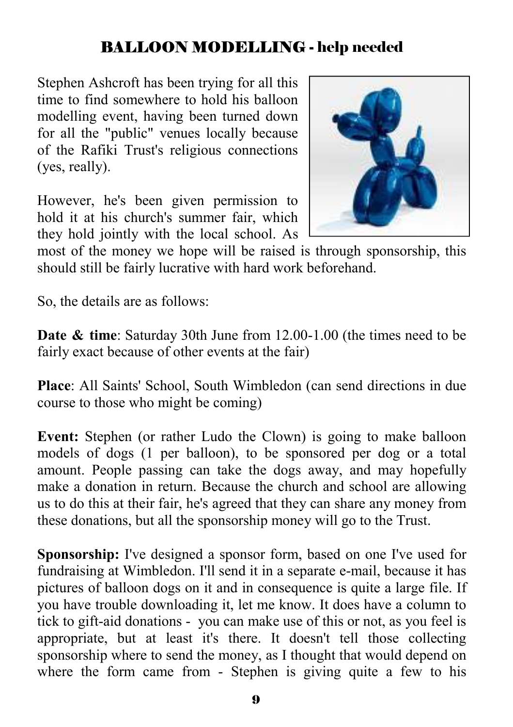## BALLOON MODELLING - help needed

Stephen Ashcroft has been trying for all this time to find somewhere to hold his balloon modelling event, having been turned down for all the "public" venues locally because of the Rafiki Trust's religious connections (yes, really).

However, he's been given permission to hold it at his church's summer fair, which they hold jointly with the local school. As



most of the money we hope will be raised is through sponsorship, this should still be fairly lucrative with hard work beforehand.

So, the details are as follows:

**Date & time**: Saturday 30th June from 12.00-1.00 (the times need to be fairly exact because of other events at the fair)

**Place**: All Saints' School, South Wimbledon (can send directions in due course to those who might be coming)

**Event:** Stephen (or rather Ludo the Clown) is going to make balloon models of dogs (1 per balloon), to be sponsored per dog or a total amount. People passing can take the dogs away, and may hopefully make a donation in return. Because the church and school are allowing us to do this at their fair, he's agreed that they can share any money from these donations, but all the sponsorship money will go to the Trust.

**Sponsorship:** I've designed a sponsor form, based on one I've used for fundraising at Wimbledon. I'll send it in a separate e-mail, because it has pictures of balloon dogs on it and in consequence is quite a large file. If you have trouble downloading it, let me know. It does have a column to tick to gift-aid donations - you can make use of this or not, as you feel is appropriate, but at least it's there. It doesn't tell those collecting sponsorship where to send the money, as I thought that would depend on where the form came from - Stephen is giving quite a few to his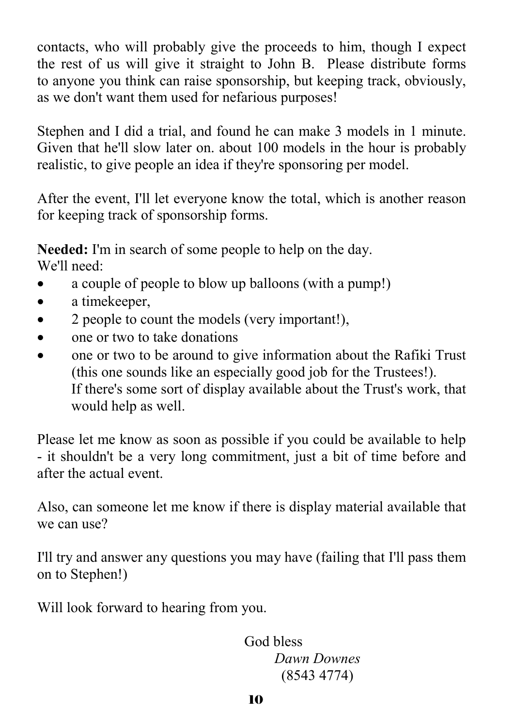contacts, who will probably give the proceeds to him, though I expect the rest of us will give it straight to John B. Please distribute forms to anyone you think can raise sponsorship, but keeping track, obviously, as we don't want them used for nefarious purposes!

Stephen and I did a trial, and found he can make 3 models in 1 minute. Given that he'll slow later on. about 100 models in the hour is probably realistic, to give people an idea if they're sponsoring per model.

After the event, I'll let everyone know the total, which is another reason for keeping track of sponsorship forms.

**Needed:** I'm in search of some people to help on the day. We'll need:

- a couple of people to blow up balloons (with a pump!)
- a timekeeper,
- 2 people to count the models (very important!),
- one or two to take donations
- one or two to be around to give information about the Rafiki Trust (this one sounds like an especially good job for the Trustees!). If there's some sort of display available about the Trust's work, that would help as well.

Please let me know as soon as possible if you could be available to help - it shouldn't be a very long commitment, just a bit of time before and after the actual event.

Also, can someone let me know if there is display material available that we can use?

I'll try and answer any questions you may have (failing that I'll pass them on to Stephen!)

Will look forward to hearing from you.

 God bless *Dawn Downes* (8543 4774)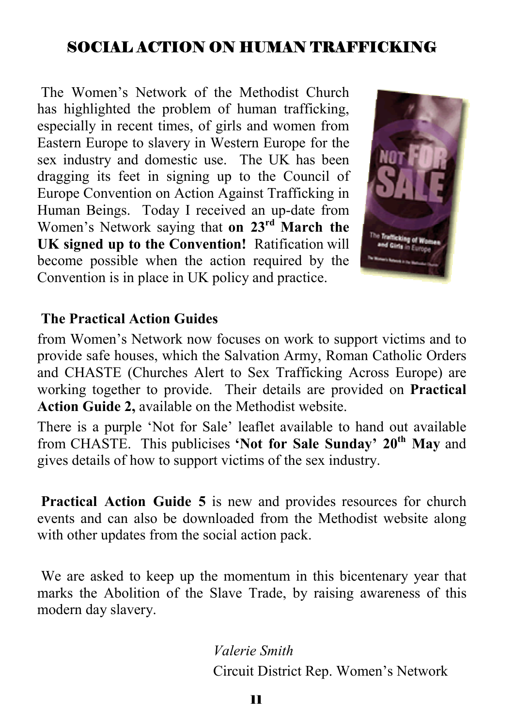## SOCIAL ACTION ON HUMAN TRAFFICKING

 The Women's Network of the Methodist Church has highlighted the problem of human trafficking, especially in recent times, of girls and women from Eastern Europe to slavery in Western Europe for the sex industry and domestic use. The UK has been dragging its feet in signing up to the Council of Europe Convention on Action Against Trafficking in Human Beings. Today I received an up-date from Women's Network saying that **on 23rd March the UK signed up to the Convention!** Ratification will become possible when the action required by the Convention is in place in UK policy and practice.



#### **The Practical Action Guides**

from Women's Network now focuses on work to support victims and to provide safe houses, which the Salvation Army, Roman Catholic Orders and CHASTE (Churches Alert to Sex Trafficking Across Europe) are working together to provide. Their details are provided on **Practical Action Guide 2,** available on the Methodist website.

There is a purple 'Not for Sale' leaflet available to hand out available from CHASTE. This publicises **'Not for Sale Sunday' 20th May** and gives details of how to support victims of the sex industry.

**Practical Action Guide 5** is new and provides resources for church events and can also be downloaded from the Methodist website along with other updates from the social action pack.

 We are asked to keep up the momentum in this bicentenary year that marks the Abolition of the Slave Trade, by raising awareness of this modern day slavery.

> *Valerie Smith* Circuit District Rep. Women's Network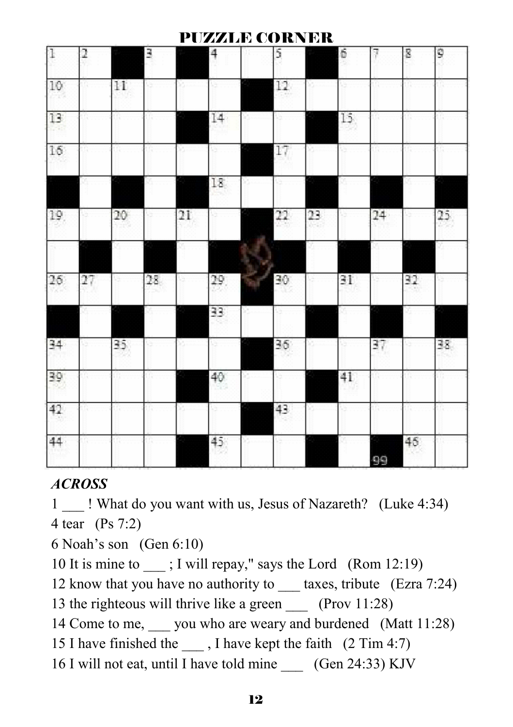#### PUZZLE CORNER

| 1   | 2  |        | 3  |    | 4               |    | 5  |    | 6  | 7            | 8  | 9  |
|-----|----|--------|----|----|-----------------|----|----|----|----|--------------|----|----|
| 10  |    | 11     |    |    |                 |    | 12 |    |    |              |    |    |
| 13  |    |        |    |    | 14              |    |    |    | 15 |              |    |    |
| 16  |    |        |    |    |                 |    | 17 |    |    |              |    |    |
|     |    |        |    |    | 18              |    |    |    |    |              |    |    |
| 19  |    | $20\,$ |    | 21 |                 |    | 22 | 23 |    | $24^{\circ}$ |    | 25 |
|     |    |        |    |    |                 | b. |    |    |    |              |    |    |
| 26  | 27 |        | 28 |    | 29              |    | 30 |    | 31 |              | 32 |    |
|     |    |        |    |    | 33              |    |    |    |    |              |    |    |
| 34  |    | 35     |    |    |                 |    | 36 |    |    | 37           |    | 38 |
| 39) |    |        |    |    | 40              |    |    |    | 41 |              |    |    |
| 42  |    |        |    |    |                 |    | 43 |    |    |              |    |    |
| 44  |    |        |    |    | 45 <sub>1</sub> |    |    |    |    | 99           | 46 |    |

#### *ACROSS*

1 \_\_\_ ! What do you want with us, Jesus of Nazareth? (Luke 4:34) 4 tear (Ps 7:2)

6 Noah's son (Gen 6:10)

10 It is mine to ; I will repay," says the Lord (Rom 12:19)

12 know that you have no authority to \_\_\_\_\_ taxes, tribute (Ezra 7:24)

13 the righteous will thrive like a green (Prov 11:28)

14 Come to me, you who are weary and burdened (Matt 11:28)

15 I have finished the \_\_\_ , I have kept the faith (2 Tim 4:7)

16 I will not eat, until I have told mine (Gen 24:33) KJV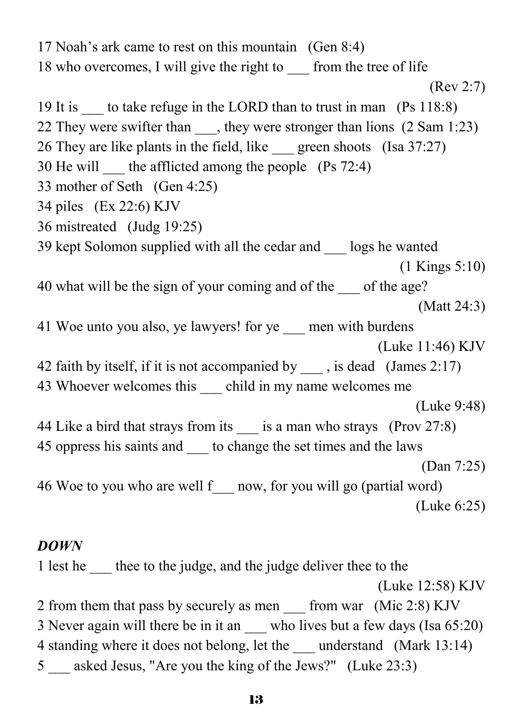17 Noah's ark came to rest on this mountain (Gen 8:4) 18 who overcomes, I will give the right to from the tree of life (Rev 2:7) 19 It is to take refuge in the LORD than to trust in man (Ps 118:8) 22 They were swifter than \_\_\_, they were stronger than lions (2 Sam 1:23) 26 They are like plants in the field, like green shoots (Isa 37:27) 30 He will  $\qquad$  the afflicted among the people (Ps 72:4) 33 mother of Seth (Gen 4:25) 34 piles (Ex 22:6) KJV 36 mistreated (Judg 19:25) 39 kept Solomon supplied with all the cedar and \_\_\_ logs he wanted (1 Kings 5:10) 40 what will be the sign of your coming and of the of the age? (Matt 24:3) 41 Woe unto you also, ye lawyers! for ye men with burdens (Luke 11:46) KJV 42 faith by itself, if it is not accompanied by , is dead (James 2:17) 43 Whoever welcomes this child in my name welcomes me (Luke 9:48) 44 Like a bird that strays from its is a man who strays (Prov 27:8) 45 oppress his saints and to change the set times and the laws (Dan 7:25) 46 Woe to you who are well f\_\_\_ now, for you will go (partial word) (Luke 6:25) *DOWN* 

1 lest he the to the judge, and the judge deliver thee to the (Luke 12:58) KJV 2 from them that pass by securely as men from war (Mic 2:8) KJV 3 Never again will there be in it an who lives but a few days (Isa 65:20) 4 standing where it does not belong, let the understand (Mark 13:14) 5 \_\_\_ asked Jesus, "Are you the king of the Jews?" (Luke 23:3)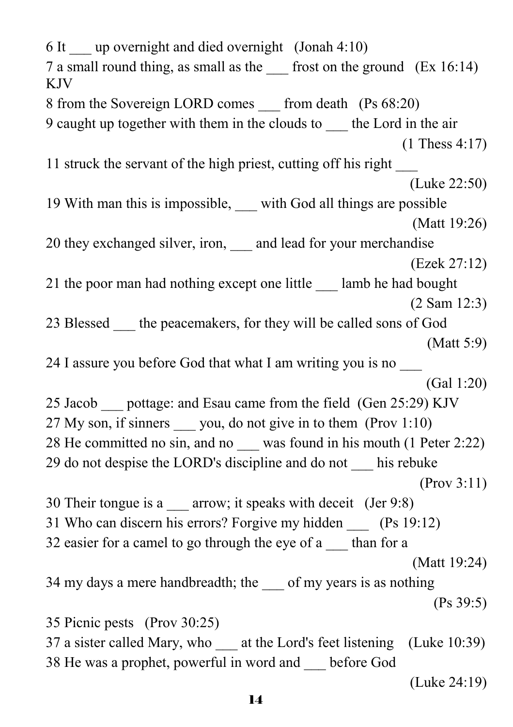6 It  $\qquad \text{up overnight and died overnight (Jonah 4:10)}$ 7 a small round thing, as small as the \_\_\_ frost on the ground (Ex 16:14) KJV 8 from the Sovereign LORD comes from death (Ps 68:20) 9 caught up together with them in the clouds to \_\_\_ the Lord in the air (1 Thess 4:17) 11 struck the servant of the high priest, cutting off his right \_\_\_ (Luke 22:50) 19 With man this is impossible, with God all things are possible (Matt 19:26) 20 they exchanged silver, iron, and lead for your merchandise (Ezek 27:12) 21 the poor man had nothing except one little \_\_\_ lamb he had bought (2 Sam 12:3) 23 Blessed the peacemakers, for they will be called sons of God (Matt 5:9) 24 I assure you before God that what I am writing you is no \_\_\_ (Gal 1:20) 25 Jacob pottage: and Esau came from the field (Gen 25:29) KJV 27 My son, if sinners vou, do not give in to them (Prov 1:10) 28 He committed no sin, and no was found in his mouth (1 Peter 2:22) 29 do not despise the LORD's discipline and do not \_\_\_ his rebuke (Prov 3:11) 30 Their tongue is a \_\_\_ arrow; it speaks with deceit (Jer 9:8) 31 Who can discern his errors? Forgive my hidden (Ps 19:12) 32 easier for a camel to go through the eye of a \_\_\_ than for a (Matt 19:24) 34 my days a mere handbreadth; the of my years is as nothing (Ps 39:5) 35 Picnic pests (Prov 30:25) 37 a sister called Mary, who at the Lord's feet listening (Luke 10:39) 38 He was a prophet, powerful in word and \_\_\_ before God (Luke 24:19)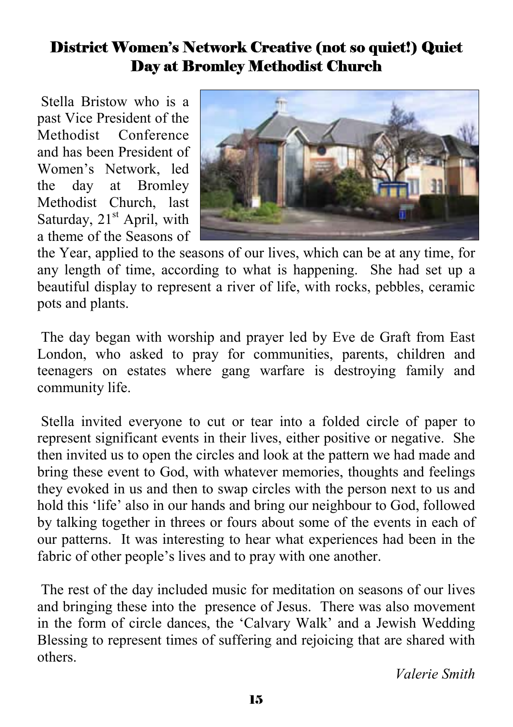## District Women's Network Creative (not so quiet!) Quiet Day at Bromley Methodist Church

 Stella Bristow who is a past Vice President of the Methodist Conference and has been President of Women's Network, led the day at Bromley Methodist Church, last Saturday,  $21<sup>st</sup>$  April, with a theme of the Seasons of



the Year, applied to the seasons of our lives, which can be at any time, for any length of time, according to what is happening. She had set up a beautiful display to represent a river of life, with rocks, pebbles, ceramic pots and plants.

 The day began with worship and prayer led by Eve de Graft from East London, who asked to pray for communities, parents, children and teenagers on estates where gang warfare is destroying family and community life.

 Stella invited everyone to cut or tear into a folded circle of paper to represent significant events in their lives, either positive or negative. She then invited us to open the circles and look at the pattern we had made and bring these event to God, with whatever memories, thoughts and feelings they evoked in us and then to swap circles with the person next to us and hold this 'life' also in our hands and bring our neighbour to God, followed by talking together in threes or fours about some of the events in each of our patterns. It was interesting to hear what experiences had been in the fabric of other people's lives and to pray with one another.

 The rest of the day included music for meditation on seasons of our lives and bringing these into the presence of Jesus. There was also movement in the form of circle dances, the 'Calvary Walk' and a Jewish Wedding Blessing to represent times of suffering and rejoicing that are shared with others.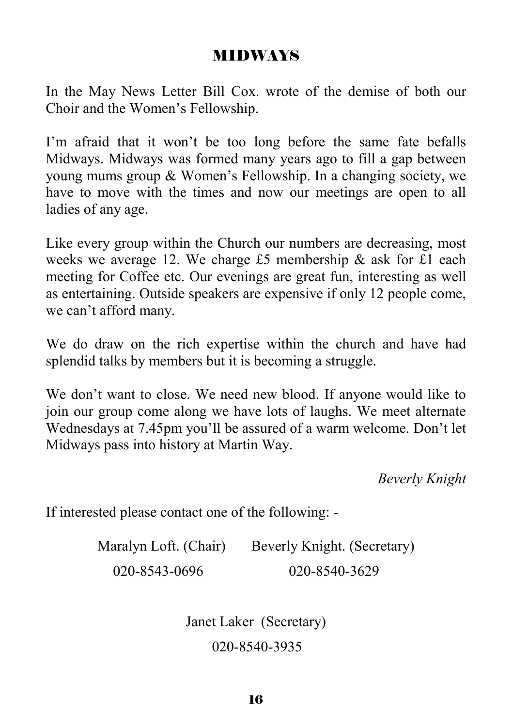#### MIDWAYS

In the May News Letter Bill Cox. wrote of the demise of both our Choir and the Women's Fellowship.

I'm afraid that it won't be too long before the same fate befalls Midways. Midways was formed many years ago to fill a gap between young mums group & Women's Fellowship. In a changing society, we have to move with the times and now our meetings are open to all ladies of any age.

Like every group within the Church our numbers are decreasing, most weeks we average 12. We charge £5 membership & ask for £1 each meeting for Coffee etc. Our evenings are great fun, interesting as well as entertaining. Outside speakers are expensive if only 12 people come, we can't afford many.

We do draw on the rich expertise within the church and have had splendid talks by members but it is becoming a struggle.

We don't want to close. We need new blood. If anyone would like to join our group come along we have lots of laughs. We meet alternate Wednesdays at 7.45pm you'll be assured of a warm welcome. Don't let Midways pass into history at Martin Way.

*Beverly Knight* 

If interested please contact one of the following: -

Maralyn Loft. (Chair) Beverly Knight. (Secretary) 020-8543-0696 020-8540-3629

> Janet Laker (Secretary) 020-8540-3935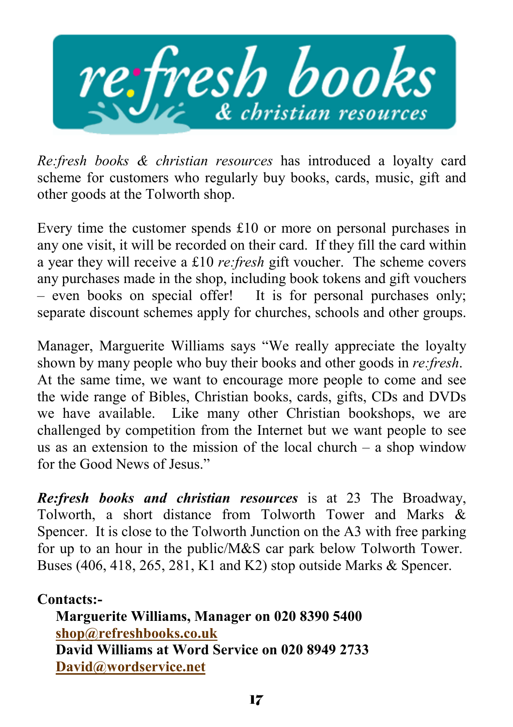

*Re:fresh books & christian resources* has introduced a loyalty card scheme for customers who regularly buy books, cards, music, gift and other goods at the Tolworth shop.

Every time the customer spends £10 or more on personal purchases in any one visit, it will be recorded on their card. If they fill the card within a year they will receive a £10 *re:fresh* gift voucher. The scheme covers any purchases made in the shop, including book tokens and gift vouchers – even books on special offer! It is for personal purchases only; separate discount schemes apply for churches, schools and other groups.

Manager, Marguerite Williams says "We really appreciate the loyalty shown by many people who buy their books and other goods in *re:fresh*. At the same time, we want to encourage more people to come and see the wide range of Bibles, Christian books, cards, gifts, CDs and DVDs we have available. Like many other Christian bookshops, we are challenged by competition from the Internet but we want people to see us as an extension to the mission of the local church – a shop window for the Good News of Jesus."

*Re:fresh books and christian resources* is at 23 The Broadway, Tolworth, a short distance from Tolworth Tower and Marks & Spencer. It is close to the Tolworth Junction on the A3 with free parking for up to an hour in the public/M&S car park below Tolworth Tower. Buses (406, 418, 265, 281, K1 and K2) stop outside Marks & Spencer.

**Contacts:- Marguerite Williams, Manager on 020 8390 5400 shop@refreshbooks.co.uk David Williams at Word Service on 020 8949 2733 David@wordservice.net**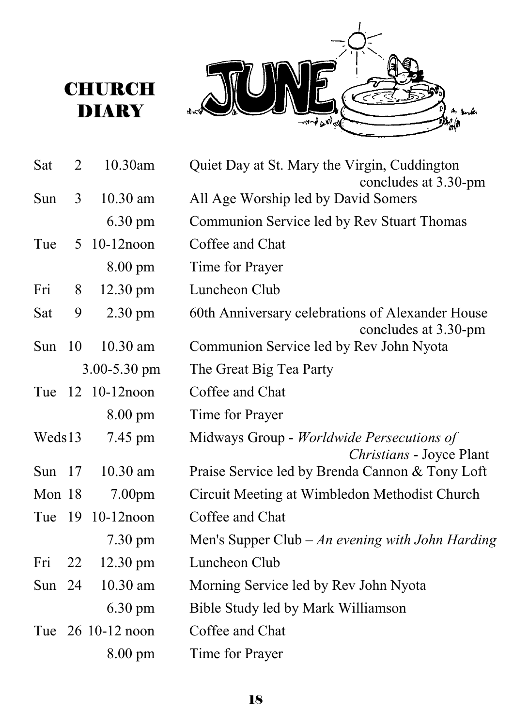# **CHURCH DIARY**



| Sat      | $\overline{2}$ | 10.30am                 | Quiet Day at St. Mary the Virgin, Cuddington<br>concludes at 3.30-pm     |
|----------|----------------|-------------------------|--------------------------------------------------------------------------|
| Sun      | 3              | 10.30 am                | All Age Worship led by David Somers                                      |
|          |                | $6.30 \text{ pm}$       | Communion Service led by Rev Stuart Thomas                               |
| Tue      | 5              | $10-12$ noon            | Coffee and Chat                                                          |
|          |                | 8.00 pm                 | Time for Prayer                                                          |
| Fri      | 8              | 12.30 pm                | Luncheon Club                                                            |
| Sat      | 9              | 2.30 pm                 | 60th Anniversary celebrations of Alexander House<br>concludes at 3.30-pm |
| Sun      | 10             | $10.30$ am              | Communion Service led by Rev John Nyota                                  |
|          |                | $3.00 - 5.30$ pm        | The Great Big Tea Party                                                  |
| Tue      |                | $12 \quad 10 - 12$ noon | Coffee and Chat                                                          |
|          |                | 8.00 pm                 | Time for Prayer                                                          |
| Weds13   |                | 7.45 pm                 | Midways Group - Worldwide Persecutions of<br>Christians - Joyce Plant    |
| Sun $17$ |                | $10.30$ am              | Praise Service led by Brenda Cannon & Tony Loft                          |
| Mon 18   |                | 7.00 <sub>pm</sub>      | Circuit Meeting at Wimbledon Methodist Church                            |
| Tue      |                | 19 10-12 noon           | Coffee and Chat                                                          |
|          |                | $7.30 \text{ pm}$       | Men's Supper Club $-An$ evening with John Harding                        |
| Fri      | 22             | $12.30 \text{ pm}$      | Luncheon Club                                                            |
| Sun $24$ |                | 10.30 am                | Morning Service led by Rev John Nyota                                    |
|          |                | $6.30 \text{ pm}$       | Bible Study led by Mark Williamson                                       |
|          |                | Tue 26 10-12 noon       | Coffee and Chat                                                          |
|          |                | $8.00 \text{ pm}$       | Time for Prayer                                                          |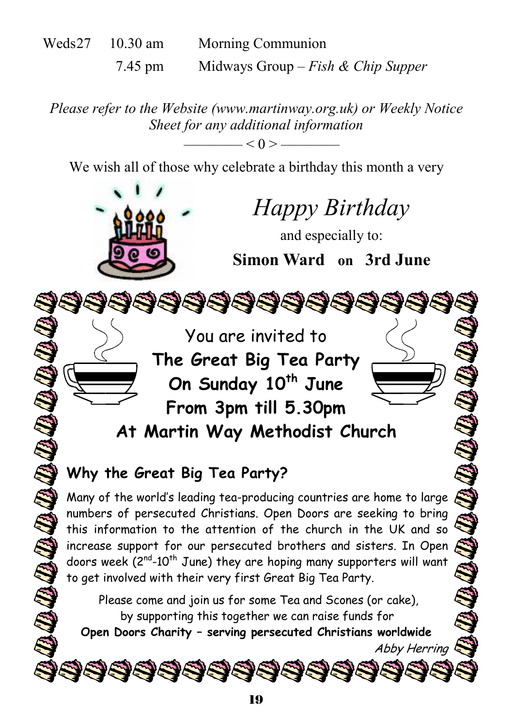| Weds27 | $10.30$ am | Morning Communion                  |  |  |  |  |
|--------|------------|------------------------------------|--|--|--|--|
|        | 7.45 pm    | Midways Group – Fish & Chip Supper |  |  |  |  |

*Please refer to the Website (www.martinway.org.uk) or Weekly Notice Sheet for any additional information* 

 $\leq$  0 >  $\leq$ 

We wish all of those why celebrate a birthday this month a very



Many of the world's leading tea-producing countries are home to large numbers of persecuted Christians. Open Doors are seeking to bring this information to the attention of the church in the UK and so increase support for our persecuted brothers and sisters. In Open doors week (2<sup>nd</sup>-10<sup>th</sup> June) they are hoping many supporters will want to get involved with their very first Great Big Tea Party.

Please come and join us for some Tea and Scones (or cake), by supporting this together we can raise funds for

**Open Doors Charity – serving persecuted Christians worldwide**

Abby Herring

\$\$\$\$\$\$\$\$\$\$\$\$\$\$\$